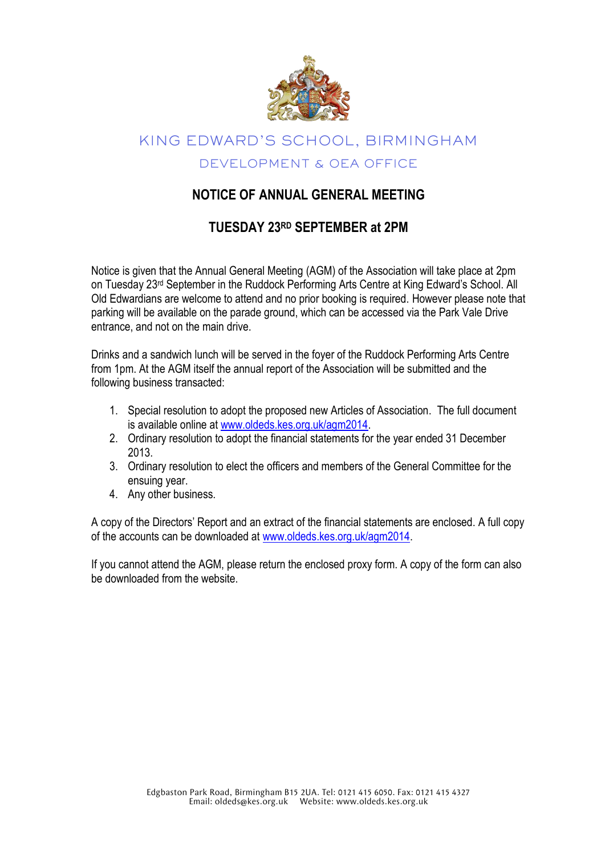

# KING EDWARD'S SCHOOL, BIRMINGHAM DEVELOPMENT & OEA OFFICE

#### **NOTICE OF ANNUAL GENERAL MEETING**

### **TUESDAY 23RD SEPTEMBER at 2PM**

Notice is given that the Annual General Meeting (AGM) of the Association will take place at 2pm on Tuesday 23rd September in the Ruddock Performing Arts Centre at King Edward's School. All Old Edwardians are welcome to attend and no prior booking is required. However please note that parking will be available on the parade ground, which can be accessed via the Park Vale Drive entrance, and not on the main drive.

Drinks and a sandwich lunch will be served in the foyer of the Ruddock Performing Arts Centre from 1pm. At the AGM itself the annual report of the Association will be submitted and the following business transacted:

- 1. Special resolution to adopt the proposed new Articles of Association. The full document is available online at [www.oldeds.kes.org.uk/agm2014.](http://www.oldeds.kes.org.uk/agm2014)
- 2. Ordinary resolution to adopt the financial statements for the year ended 31 December 2013.
- 3. Ordinary resolution to elect the officers and members of the General Committee for the ensuing year.
- 4. Any other business.

A copy of the Directors' Report and an extract of the financial statements are enclosed. A full copy of the accounts can be downloaded at [www.oldeds.kes.org.uk/agm2014.](http://www.oldeds.kes.org.uk/agm2014)

If you cannot attend the AGM, please return the enclosed proxy form. A copy of the form can also be downloaded from the website.